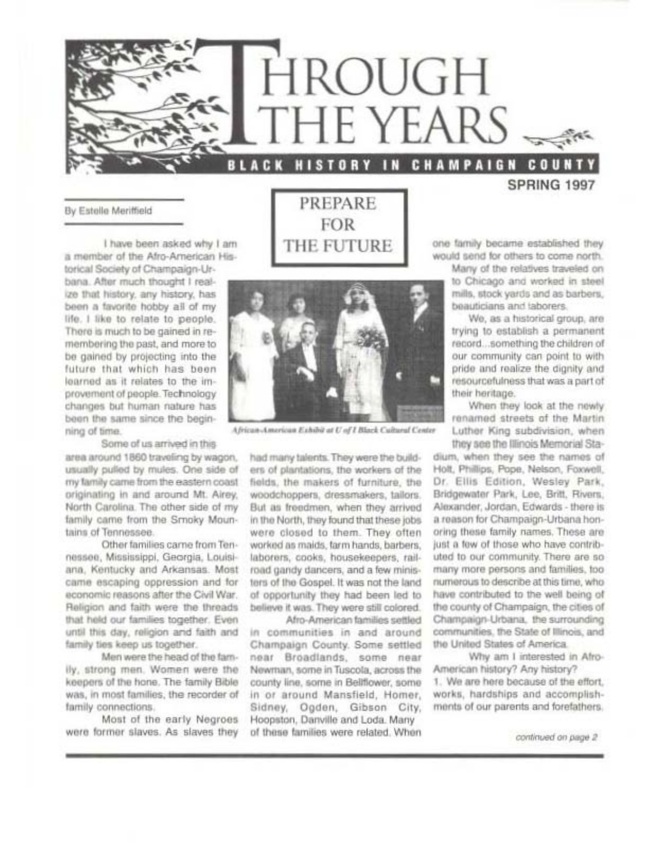

#### By Estelle Meriffield

I have been asked why I am a member of the Afro-American His-

torical Society of Champaign-Urbana. After much thought I realize that history, any history, has been a favorite hobby all of my life. I like to relate to people. There is much to be gained in remembering the past, and more to be gained by projecting into the future that which has been learned as it relates to the improvement of people. Technology changes but human nature has been the same since the beginning of time.

#### Some of us arrived in this

area around 1860 traveling by wagon, usually pulled by mules. One side of my family came from the eastern coast originating in and around Mt. Airey, North Carolina. The other side of my family came from the Srnoky Mountains of Tennessee.

Other families carne from Tennessee, Mississippi, Georgia, Louisiana. Kentucky and Arkansas. Most came escaping oppression and for economic reasons after the Civil War. Religion and faith were the threads that held our families together. Even until this day, religion and faith and family ties keep us together.

Men were the head of the family, strong men. Women were the keepers of the hone. The family Bible was, in most families, the recorder of family connections.

Most of the early Negroes were former slaves. As slaves they

PREPARE **FOR** THE FUTURE



African-American Exhibit at U of I Black Cultural Center

had many talents. They were the builders of plantations, the workers of the fields, the makers of furniture, the woodchoppers, dressmakers, tailors. But as freedmen, when they arrived in the North, they found that these jobs were closed to them. They often worked as maids, farm hands, barbers, laborers, cooks, housekeepers, railroad gandy dancers, and a few ministers of the Gospel. It was not the land of opportunity they had been led to believe it was. They were still colored.

Afro-American families settled in communities in and around Champaign County, Some settled near Broadlands, some near Newman, some in Tuscola, across the county line, some in Bellflower, some in or around Mansfield, Homer, Sidney, Ogden, Gibson City, Hoopston, Danville and Loda. Many of these families were related. When

SPRING 1997

one family became established they would send for others to come north.

> Many of the relatives traveled on to Chicago and worked in steel mills, stock yards and as barbers, beauticians and laborers.

> We, as a historical group, are trying to establish a permanent record...something the children of our community can point to with pride and realize the dignity and resourcefulness that was a part of their heritage.

> When they look at the newly renamed streets of the Martin Luther King subdivision, when they see the Illinois Memorial Sta-

dium, when they see the names of Holt, Phillips, Pope, Nelson, Foxwell, Dr. Ellis Edition, Wesley Park, Bridgewater Park, Lee, Britt, Rivers, Alexander, Jordan, Edwards - there is a reason for Champaign-Urbana honoring these family names. These are just a few of those who have contributed to our community. There are so many more persons and families, too numerous to describe at this time, who have contributed to the well being of the county of Champaign, the cities of Champaign-Urbana, the surrounding communities, the State of Illinois, and the United States of America.

Why am I interested in Afro-American history? Any history? 1. We are here because of the effort. works, hardships and accomplishments of our parents and forefathers.

continued on page 2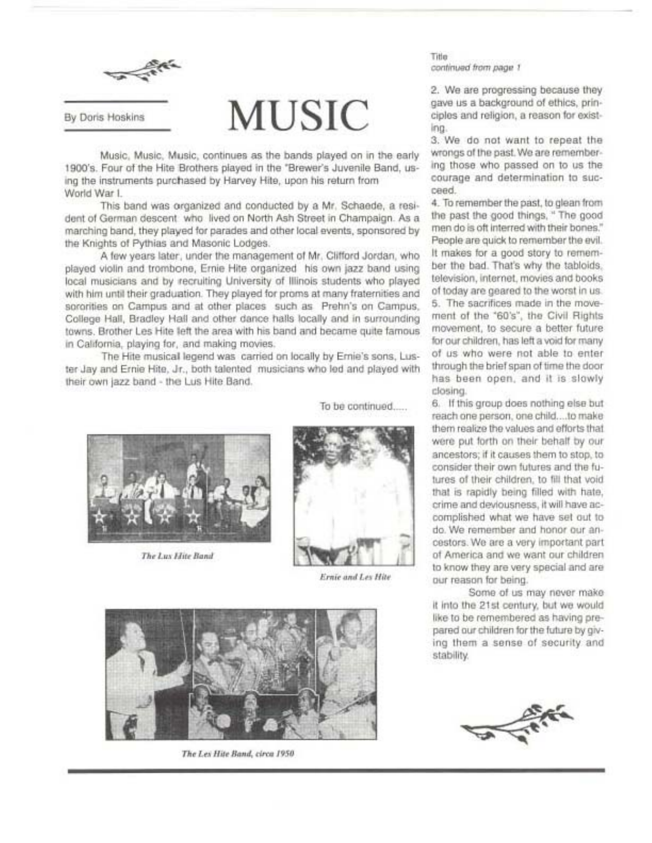

#### By Doris Hoskins

# **MUSIC**

Music, Music, Music, continues as the bands played on in the early 1900's. Four of the Hite Brothers played in the "Brewer's Juvenile Band, using the instruments purchased by Harvey Hite, upon his return from World War I.

This band was organized and conducted by a Mr. Schaede, a resident of German descent who lived on North Ash Street in Champaign. As a marching band, they played for parades and other local events, sponsored by the Knights of Pythias and Masonic Lodges.

A few years later, under the management of Mr. Clifford Jordan, who played violin and trombone, Ernie Hite organized his own jazz band using local musicians and by recruiting University of Illinois students who played with him until their graduation. They played for proms at many fraternities and sororities on Campus and at other places such as Prehn's on Campus. College Hall, Bradley Hall and other dance halls locally and in surrounding towns. Brother Les Hite left the area with his band and became quite famous in California, playing for, and making movies.

The Hite musical legend was carried on locally by Emie's sons, Luster Jay and Ernie Hite, Jr., both talented musicians who led and played with their own jazz band - the Lus Hite Band.



The Lux Hite Band



To be continued.....

Ernie and Les Hite



The Les Hite Band, circa 1950

Title continued from page 1

2. We are progressing because they gave us a background of ethics, principles and religion, a reason for existing.

3. We do not want to repeat the wrongs of the past. We are remembering those who passed on to us the courage and determination to succeed.

4. To remember the past, to glean from the past the good things, " The good men do is oft interred with their bones." People are quick to remember the evil. It makes for a good story to remember the bad. That's why the tabloids. television, internet, movies and books of today are geared to the worst in us. 5. The sacrifices made in the movement of the '60's", the Civil Rights movement, to secure a better future for our children, has left a void for many of us who were not able to enter through the brief span of time the door has been open, and it is slowly closing.

6. If this group does nothing else but reach one person, one child....to make them realize the values and efforts that were put forth on their behalf by our ancestors; if it causes them to stop, to consider their own futures and the futures of their children, to fill that void that is rapidly being filled with hate, crime and deviousness, it will have accomplished what we have set out to do. We remember and honor our ancestors. We are a very important part of America and we want our children to know they are very special and are our reason for being.

Some of us may never make it into the 21st century, but we would like to be remembered as having prepared our children for the future by giving them a sense of security and stability.

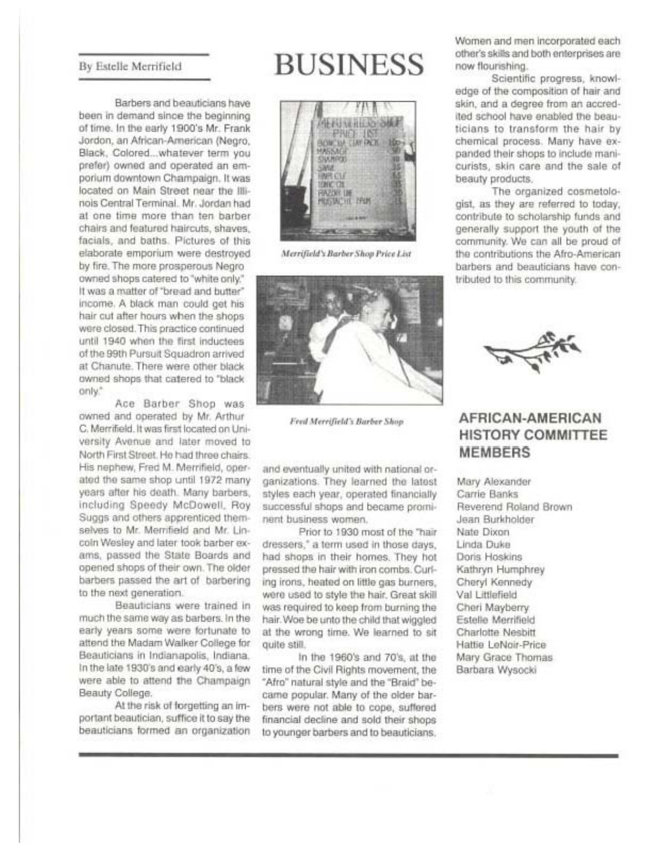#### By Estelle Merrifield

Barbers and beauticians have been in demand since the beginning of time. In the early 1900's Mr. Frank Jordon, an African-American (Negro, Black, Colored...whatever term you prefer) owned and operated an emporium downtown Champaign, It was located on Main Street near the Illinois Central Terminal, Mr. Jordan had at one time more than ten barber chairs and featured haircuts, shaves. facials, and baths. Pictures of this elaborate emporium were destroyed by fire. The more prosperous Negro owned shops catered to "white only." It was a matter of "bread and butter" income. A black man could get his hair cut after hours when the shops were closed. This practice continued until 1940 when the first inductees of the 99th Pursuit Souadron arrived at Chanute. There were other black owned shops that catered to "black only."

Ace Barber Shop was owned and operated by Mr. Arthur C. Merrifield. It was first located on University Avenue and later moved to North First Street. He had three chairs. His nephew, Fred M. Merrifield, operated the same shop until 1972 many years after his death. Many barbers, including Speedy McDowell, Roy Suggs and others apprenticed themselves to Mr. Merrifield and Mr. Lincoln Wesley and later took barber exams, passed the State Boards and opened shops of their own. The older barbers passed the art of barbering to the next generation.

Beauticians were trained in much the same way as barbers. In the early years some were fortunate to attend the Madam Walker College for Beauticians in Indianapolis, Indiana. In the late 1930's and early 40's, a few were able to attend the Champaign Beauty College.

At the risk of forgetting an important beautician, suffice it to say the beauticians formed an organization

# **BUSINESS**



Merrifield's Barber Shop Price List



Fred Merrifield's Barber Shop

and eventually united with national organizations. They learned the latest styles each year, operated financially successful shops and became prominent business women.

Prior to 1930 most of the "hair dressers," a term used in those days, had shops in their homes. They hot pressed the hair with iron combs. Curling irons, heated on little gas burners, were used to style the hair. Great skill was required to keep from burning the hair. Woe be unto the child that wiggled at the wrong time. We learned to sit quite still.

In the 1960's and 70's, at the time of the Civil Rights movement, the "Afro" natural style and the "Braid" became popular. Many of the older barbers were not able to cope, suffered financial decline and sold their shops to younger barbers and to beauticians.

Women and men incorporated each other's skills and both enterprises are now flourishing.

Scientific progress, knowledge of the composition of hair and skin, and a degree from an accredited school have enabled the beauticians to transform the hair by chemical process. Many have expanded their shops to include manicurists, skin care and the sale of beauty products.

The organized cosmetologist, as they are referred to today, contribute to scholarship funds and generally support the youth of the community. We can all be proud of the contributions the Afro-American barbers and beauticians have contributed to this community.



### AFRICAN-AMERICAN **HISTORY COMMITTEE MEMBERS**

Mary Alexander Carrie Banks Reverend Roland Brown Jean Burkholder Nate Dixon Linda Duke Doris Hoskins Kathryn Humphrey Cheryl Kennedy Val Littlefield Cheri Mayberry Estelle Merrifield Charlotte Nesbitt Hattie LeNoir-Price Mary Grace Thomas Barbara Wysocki